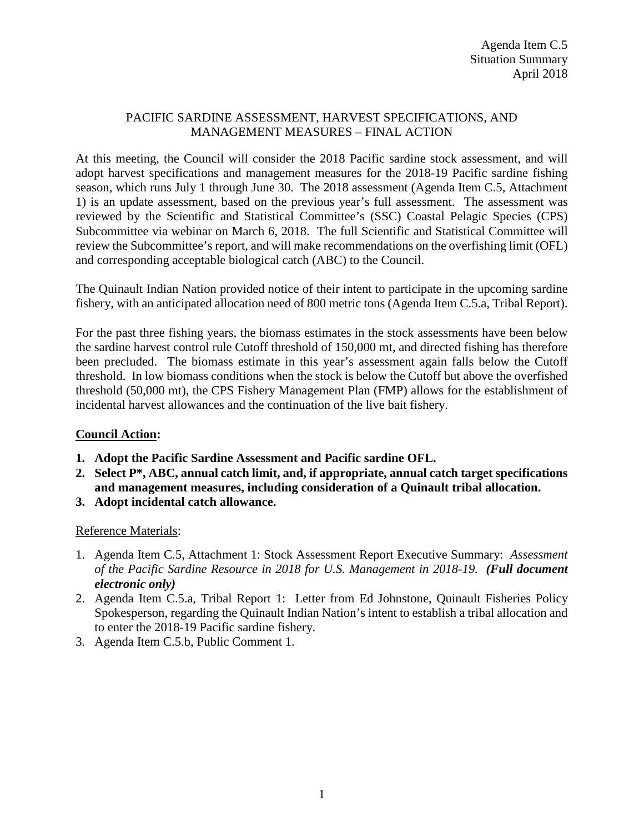## PACIFIC SARDINE ASSESSMENT, HARVEST SPECIFICATIONS, AND MANAGEMENT MEASURES – FINAL ACTION

At this meeting, the Council will consider the 2018 Pacific sardine stock assessment, and will adopt harvest specifications and management measures for the 2018-19 Pacific sardine fishing season, which runs July 1 through June 30. The 2018 assessment (Agenda Item C.5, Attachment 1) is an update assessment, based on the previous year's full assessment. The assessment was reviewed by the Scientific and Statistical Committee's (SSC) Coastal Pelagic Species (CPS) Subcommittee via webinar on March 6, 2018. The full Scientific and Statistical Committee will review the Subcommittee's report, and will make recommendations on the overfishing limit (OFL) and corresponding acceptable biological catch (ABC) to the Council.

The Quinault Indian Nation provided notice of their intent to participate in the upcoming sardine fishery, with an anticipated allocation need of 800 metric tons (Agenda Item C.5.a, Tribal Report).

For the past three fishing years, the biomass estimates in the stock assessments have been below the sardine harvest control rule Cutoff threshold of 150,000 mt, and directed fishing has therefore been precluded. The biomass estimate in this year's assessment again falls below the Cutoff threshold. In low biomass conditions when the stock is below the Cutoff but above the overfished threshold (50,000 mt), the CPS Fishery Management Plan (FMP) allows for the establishment of incidental harvest allowances and the continuation of the live bait fishery.

## **Council Action:**

- **1. Adopt the Pacific Sardine Assessment and Pacific sardine OFL.**
- **2. Select P\*, ABC, annual catch limit, and, if appropriate, annual catch target specifications and management measures, including consideration of a Quinault tribal allocation.**
- **3. Adopt incidental catch allowance.**

Reference Materials:

- 1. Agenda Item C.5, Attachment 1: Stock Assessment Report Executive Summary: *Assessment of the Pacific Sardine Resource in 2018 for U.S. Management in 2018-19. (Full document electronic only)*
- 2. Agenda Item C.5.a, Tribal Report 1: Letter from Ed Johnstone, Quinault Fisheries Policy Spokesperson, regarding the Quinault Indian Nation's intent to establish a tribal allocation and to enter the 2018-19 Pacific sardine fishery.
- 3. Agenda Item C.5.b, Public Comment 1.